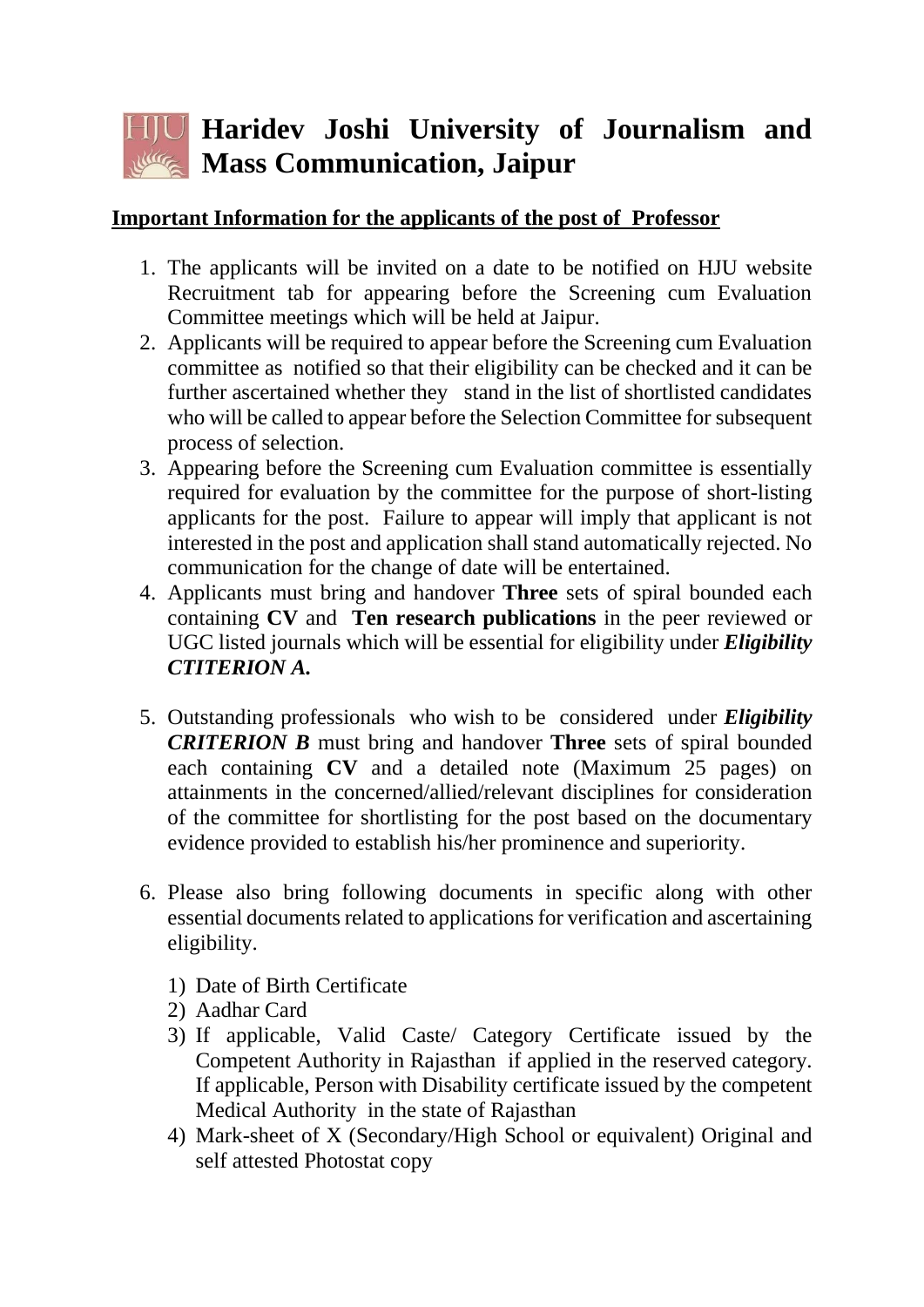## **Haridev Joshi University of Journalism and Mass Communication, Jaipur**

## **Important Information for the applicants of the post of Professor**

- 1. The applicants will be invited on a date to be notified on HJU website Recruitment tab for appearing before the Screening cum Evaluation Committee meetings which will be held at Jaipur.
- 2. Applicants will be required to appear before the Screening cum Evaluation committee as notified so that their eligibility can be checked and it can be further ascertained whether they stand in the list of shortlisted candidates who will be called to appear before the Selection Committee for subsequent process of selection.
- 3. Appearing before the Screening cum Evaluation committee is essentially required for evaluation by the committee for the purpose of short-listing applicants for the post. Failure to appear will imply that applicant is not interested in the post and application shall stand automatically rejected. No communication for the change of date will be entertained.
- 4. Applicants must bring and handover **Three** sets of spiral bounded each containing **CV** and **Ten research publications** in the peer reviewed or UGC listed journals which will be essential for eligibility under *Eligibility CTITERION A.*
- 5. Outstanding professionals who wish to be considered under *Eligibility CRITERION B* must bring and handover **Three** sets of spiral bounded each containing **CV** and a detailed note (Maximum 25 pages) on attainments in the concerned/allied/relevant disciplines for consideration of the committee for shortlisting for the post based on the documentary evidence provided to establish his/her prominence and superiority.
- 6. Please also bring following documents in specific along with other essential documents related to applications for verification and ascertaining eligibility.
	- 1) Date of Birth Certificate
	- 2) Aadhar Card
	- 3) If applicable, Valid Caste/ Category Certificate issued by the Competent Authority in Rajasthan if applied in the reserved category. If applicable, Person with Disability certificate issued by the competent Medical Authority in the state of Rajasthan
	- 4) Mark-sheet of X (Secondary/High School or equivalent) Original and self attested Photostat copy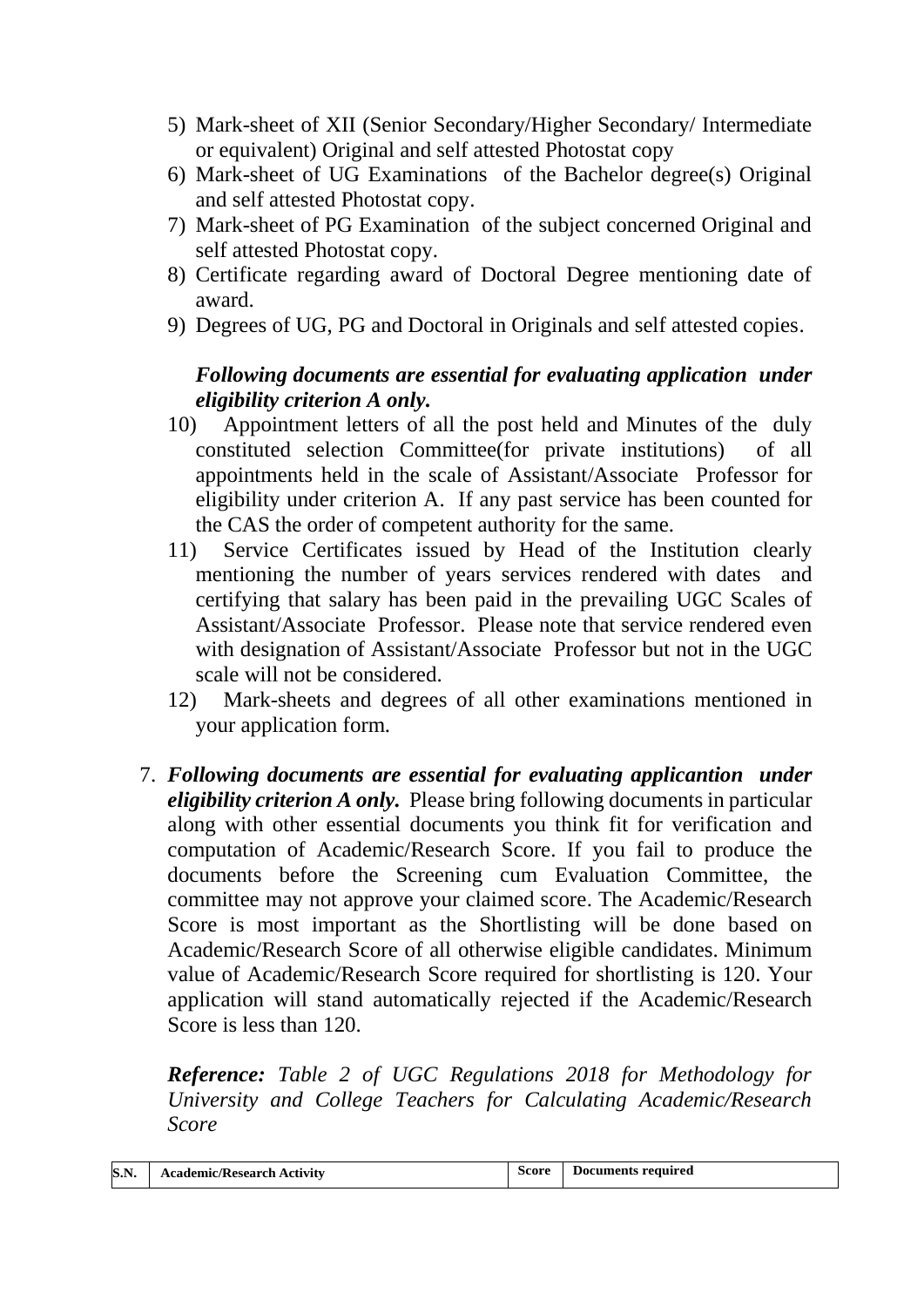- 5) Mark-sheet of XII (Senior Secondary/Higher Secondary/ Intermediate or equivalent) Original and self attested Photostat copy
- 6) Mark-sheet of UG Examinations of the Bachelor degree(s) Original and self attested Photostat copy.
- 7) Mark-sheet of PG Examination of the subject concerned Original and self attested Photostat copy.
- 8) Certificate regarding award of Doctoral Degree mentioning date of award.
- 9) Degrees of UG, PG and Doctoral in Originals and self attested copies.

## *Following documents are essential for evaluating application under eligibility criterion A only.*

- 10) Appointment letters of all the post held and Minutes of the duly constituted selection Committee(for private institutions) of all appointments held in the scale of Assistant/Associate Professor for eligibility under criterion A. If any past service has been counted for the CAS the order of competent authority for the same.
- 11) Service Certificates issued by Head of the Institution clearly mentioning the number of years services rendered with dates and certifying that salary has been paid in the prevailing UGC Scales of Assistant/Associate Professor. Please note that service rendered even with designation of Assistant/Associate Professor but not in the UGC scale will not be considered.
- 12) Mark-sheets and degrees of all other examinations mentioned in your application form.
- 7. *Following documents are essential for evaluating applicantion under eligibility criterion A only.* Please bring following documents in particular along with other essential documents you think fit for verification and computation of Academic/Research Score. If you fail to produce the documents before the Screening cum Evaluation Committee, the committee may not approve your claimed score. The Academic/Research Score is most important as the Shortlisting will be done based on Academic/Research Score of all otherwise eligible candidates. Minimum value of Academic/Research Score required for shortlisting is 120. Your application will stand automatically rejected if the Academic/Research Score is less than 120.

*Reference: Table 2 of UGC Regulations 2018 for Methodology for University and College Teachers for Calculating Academic/Research Score*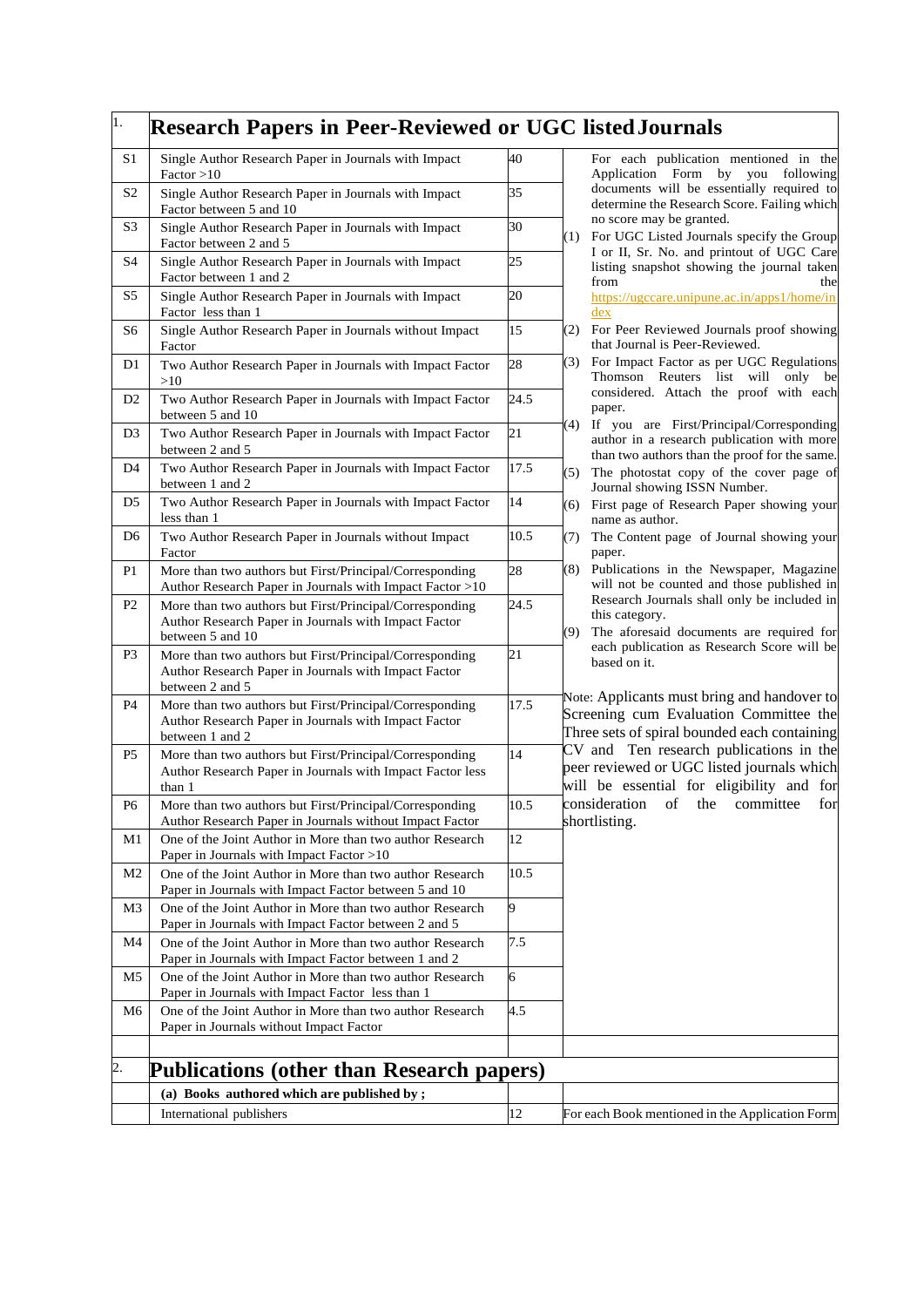| 1.             | <b>Research Papers in Peer-Reviewed or UGC listed Journals</b>                                                                      |      |                                                                                                                                                |
|----------------|-------------------------------------------------------------------------------------------------------------------------------------|------|------------------------------------------------------------------------------------------------------------------------------------------------|
| S <sub>1</sub> | Single Author Research Paper in Journals with Impact<br>Factor > 10                                                                 | 40   | For each publication mentioned in the<br>Application Form by you following                                                                     |
| S <sub>2</sub> | Single Author Research Paper in Journals with Impact<br>Factor between 5 and 10                                                     | 35   | documents will be essentially required to<br>determine the Research Score. Failing which                                                       |
| S3             | Single Author Research Paper in Journals with Impact<br>Factor between 2 and 5                                                      | 30   | no score may be granted.<br>For UGC Listed Journals specify the Group<br>(1)                                                                   |
| S4             | Single Author Research Paper in Journals with Impact<br>Factor between 1 and 2                                                      | 25   | I or II, Sr. No. and printout of UGC Care<br>listing snapshot showing the journal taken<br>from<br>the                                         |
| S5             | Single Author Research Paper in Journals with Impact<br>Factor less than 1                                                          | 20   | https://ugccare.unipune.ac.in/apps1/home/in<br>dex                                                                                             |
| S6             | Single Author Research Paper in Journals without Impact<br>Factor                                                                   | 15   | (2)<br>For Peer Reviewed Journals proof showing<br>that Journal is Peer-Reviewed.                                                              |
| D <sub>1</sub> | Two Author Research Paper in Journals with Impact Factor<br>>10                                                                     | 28   | For Impact Factor as per UGC Regulations<br>(3)<br>Thomson Reuters list will only be                                                           |
| D <sub>2</sub> | Two Author Research Paper in Journals with Impact Factor<br>between 5 and 10                                                        | 24.5 | considered. Attach the proof with each<br>paper.                                                                                               |
| D <sub>3</sub> | Two Author Research Paper in Journals with Impact Factor<br>between 2 and 5                                                         | 21   | If you are First/Principal/Corresponding<br>(4)<br>author in a research publication with more<br>than two authors than the proof for the same. |
| D <sub>4</sub> | Two Author Research Paper in Journals with Impact Factor<br>between 1 and 2                                                         | 17.5 | The photostat copy of the cover page of<br>(5)<br>Journal showing ISSN Number.                                                                 |
| D5             | Two Author Research Paper in Journals with Impact Factor<br>less than 1                                                             | 14   | First page of Research Paper showing your<br>(6)<br>name as author.                                                                            |
| D <sub>6</sub> | Two Author Research Paper in Journals without Impact<br>Factor                                                                      | 10.5 | The Content page of Journal showing your<br>(7)<br>paper.                                                                                      |
| P1             | More than two authors but First/Principal/Corresponding<br>Author Research Paper in Journals with Impact Factor >10                 | 28   | (8)<br>Publications in the Newspaper, Magazine<br>will not be counted and those published in                                                   |
| P <sub>2</sub> | More than two authors but First/Principal/Corresponding<br>Author Research Paper in Journals with Impact Factor<br>between 5 and 10 | 24.5 | Research Journals shall only be included in<br>this category.<br>The aforesaid documents are required for<br>(9)                               |
| P <sub>3</sub> | More than two authors but First/Principal/Corresponding<br>Author Research Paper in Journals with Impact Factor<br>between 2 and 5  | 21   | each publication as Research Score will be<br>based on it.                                                                                     |
| P <sub>4</sub> | More than two authors but First/Principal/Corresponding<br>Author Research Paper in Journals with Impact Factor<br>between 1 and 2  | 17.5 | Note: Applicants must bring and handover to<br>Screening cum Evaluation Committee the<br>Three sets of spiral bounded each containing          |
| P <sub>5</sub> | More than two authors but First/Principal/Corresponding<br>Author Research Paper in Journals with Impact Factor less<br>than 1      | 14   | CV and Ten research publications in the<br>peer reviewed or UGC listed journals which<br>will be essential for eligibility and for             |
| P <sub>6</sub> | More than two authors but First/Principal/Corresponding<br>Author Research Paper in Journals without Impact Factor                  | 10.5 | consideration of the committee for<br>shortlisting.                                                                                            |
| M1             | One of the Joint Author in More than two author Research<br>Paper in Journals with Impact Factor >10                                | 12   |                                                                                                                                                |
| M <sub>2</sub> | One of the Joint Author in More than two author Research<br>Paper in Journals with Impact Factor between 5 and 10                   | 10.5 |                                                                                                                                                |
| M3             | One of the Joint Author in More than two author Research<br>Paper in Journals with Impact Factor between 2 and 5                    | 9    |                                                                                                                                                |
| M4             | One of the Joint Author in More than two author Research<br>Paper in Journals with Impact Factor between 1 and 2                    | 7.5  |                                                                                                                                                |
| M5             | One of the Joint Author in More than two author Research<br>Paper in Journals with Impact Factor less than 1                        | 6    |                                                                                                                                                |
| M6             | One of the Joint Author in More than two author Research<br>Paper in Journals without Impact Factor                                 | 4.5  |                                                                                                                                                |
| 2.             | <b>Publications (other than Research papers)</b>                                                                                    |      |                                                                                                                                                |
|                | (a) Books authored which are published by;                                                                                          |      |                                                                                                                                                |
|                | International publishers                                                                                                            | 12   | For each Book mentioned in the Application Form                                                                                                |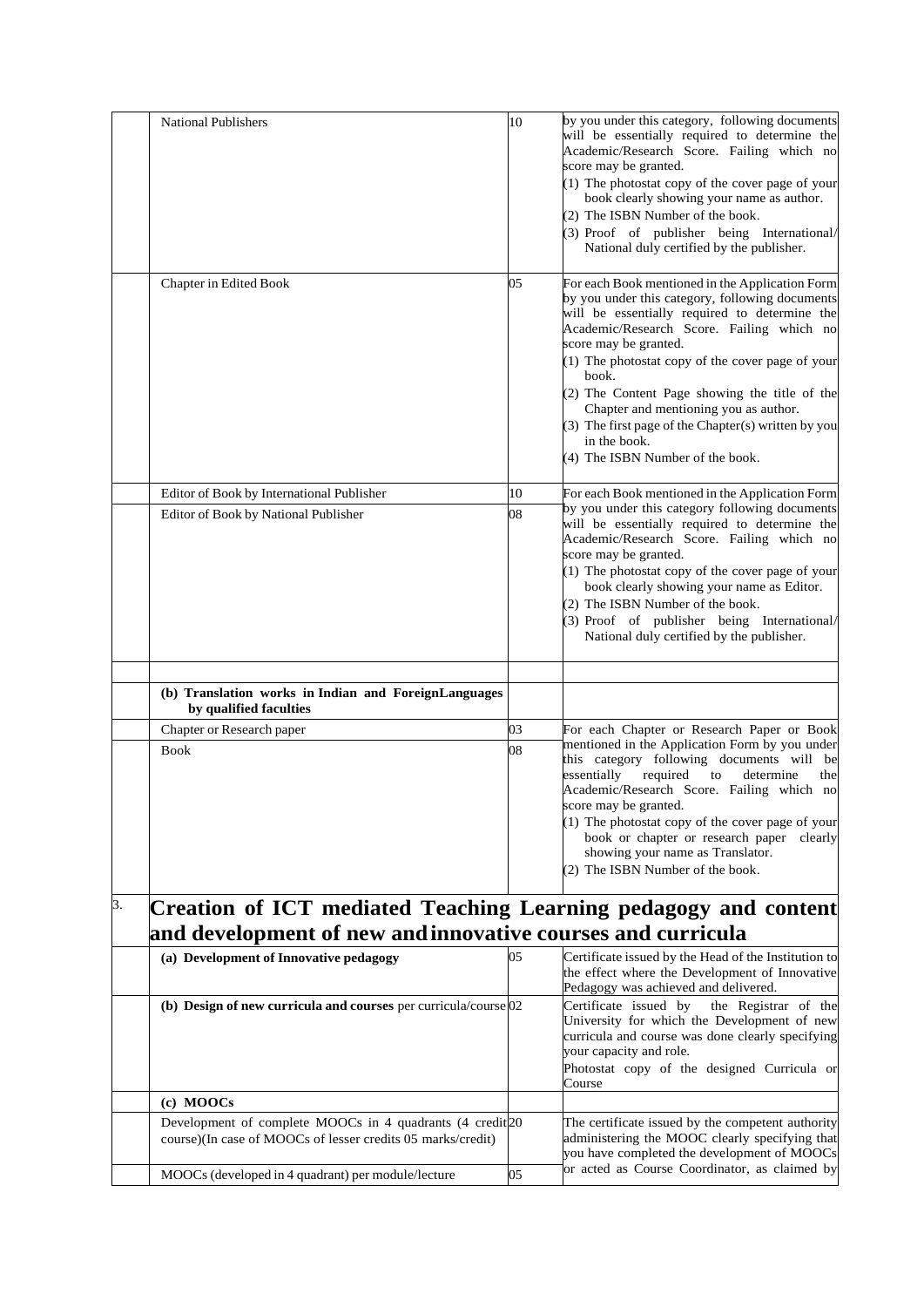|    | <b>National Publishers</b>                                                                                                     | 10 | by you under this category, following documents<br>will be essentially required to determine the<br>Academic/Research Score. Failing which no<br>score may be granted.<br>(1) The photostat copy of the cover page of your<br>book clearly showing your name as author.<br>(2) The ISBN Number of the book.<br>(3) Proof of publisher being International/<br>National duly certified by the publisher.                                                                                          |
|----|--------------------------------------------------------------------------------------------------------------------------------|----|--------------------------------------------------------------------------------------------------------------------------------------------------------------------------------------------------------------------------------------------------------------------------------------------------------------------------------------------------------------------------------------------------------------------------------------------------------------------------------------------------|
|    | Chapter in Edited Book                                                                                                         | 05 | For each Book mentioned in the Application Form<br>by you under this category, following documents<br>will be essentially required to determine the<br>Academic/Research Score. Failing which no<br>score may be granted.<br>(1) The photostat copy of the cover page of your<br>book.<br>(2) The Content Page showing the title of the<br>Chapter and mentioning you as author.<br>$(3)$ The first page of the Chapter $(s)$ written by you<br>in the book.<br>(4) The ISBN Number of the book. |
|    | Editor of Book by International Publisher                                                                                      | 10 | For each Book mentioned in the Application Form                                                                                                                                                                                                                                                                                                                                                                                                                                                  |
|    | Editor of Book by National Publisher                                                                                           | 08 | by you under this category following documents<br>will be essentially required to determine the<br>Academic/Research Score. Failing which no<br>score may be granted.<br>(1) The photostat copy of the cover page of your<br>book clearly showing your name as Editor.<br>(2) The ISBN Number of the book.<br>(3) Proof of publisher being International/<br>National duly certified by the publisher.                                                                                           |
|    | (b) Translation works in Indian and ForeignLanguages<br>by qualified faculties                                                 |    |                                                                                                                                                                                                                                                                                                                                                                                                                                                                                                  |
|    | Chapter or Research paper                                                                                                      | 03 | For each Chapter or Research Paper or Book                                                                                                                                                                                                                                                                                                                                                                                                                                                       |
|    | <b>Book</b>                                                                                                                    | 08 | mentioned in the Application Form by you under<br>this category following documents will be<br>required<br>essentially<br>determine<br>to<br>the<br>Academic/Research Score. Failing which no<br>score may be granted.<br>$(1)$ The photostat copy of the cover page of your<br>book or chapter or research paper clearly<br>showing your name as Translator.<br>(2) The ISBN Number of the book.                                                                                                |
| 3. | Creation of ICT mediated Teaching Learning pedagogy and content<br>and development of new and innovative courses and curricula |    |                                                                                                                                                                                                                                                                                                                                                                                                                                                                                                  |
|    | (a) Development of Innovative pedagogy                                                                                         | 05 | Certificate issued by the Head of the Institution to<br>the effect where the Development of Innovative<br>Pedagogy was achieved and delivered.                                                                                                                                                                                                                                                                                                                                                   |
|    | (b) Design of new curricula and courses per curricula/course $ 02 $                                                            |    | Certificate issued by<br>the Registrar of the<br>University for which the Development of new<br>curricula and course was done clearly specifying<br>your capacity and role.<br>Photostat copy of the designed Curricula or<br>Course                                                                                                                                                                                                                                                             |
|    | (c) MOOCs                                                                                                                      |    |                                                                                                                                                                                                                                                                                                                                                                                                                                                                                                  |
|    | Development of complete MOOCs in 4 quadrants (4 credit 20<br>course)(In case of MOOCs of lesser credits 05 marks/credit)       |    | The certificate issued by the competent authority<br>administering the MOOC clearly specifying that<br>you have completed the development of MOOCs                                                                                                                                                                                                                                                                                                                                               |
|    | MOOCs (developed in 4 quadrant) per module/lecture                                                                             | 05 | or acted as Course Coordinator, as claimed by                                                                                                                                                                                                                                                                                                                                                                                                                                                    |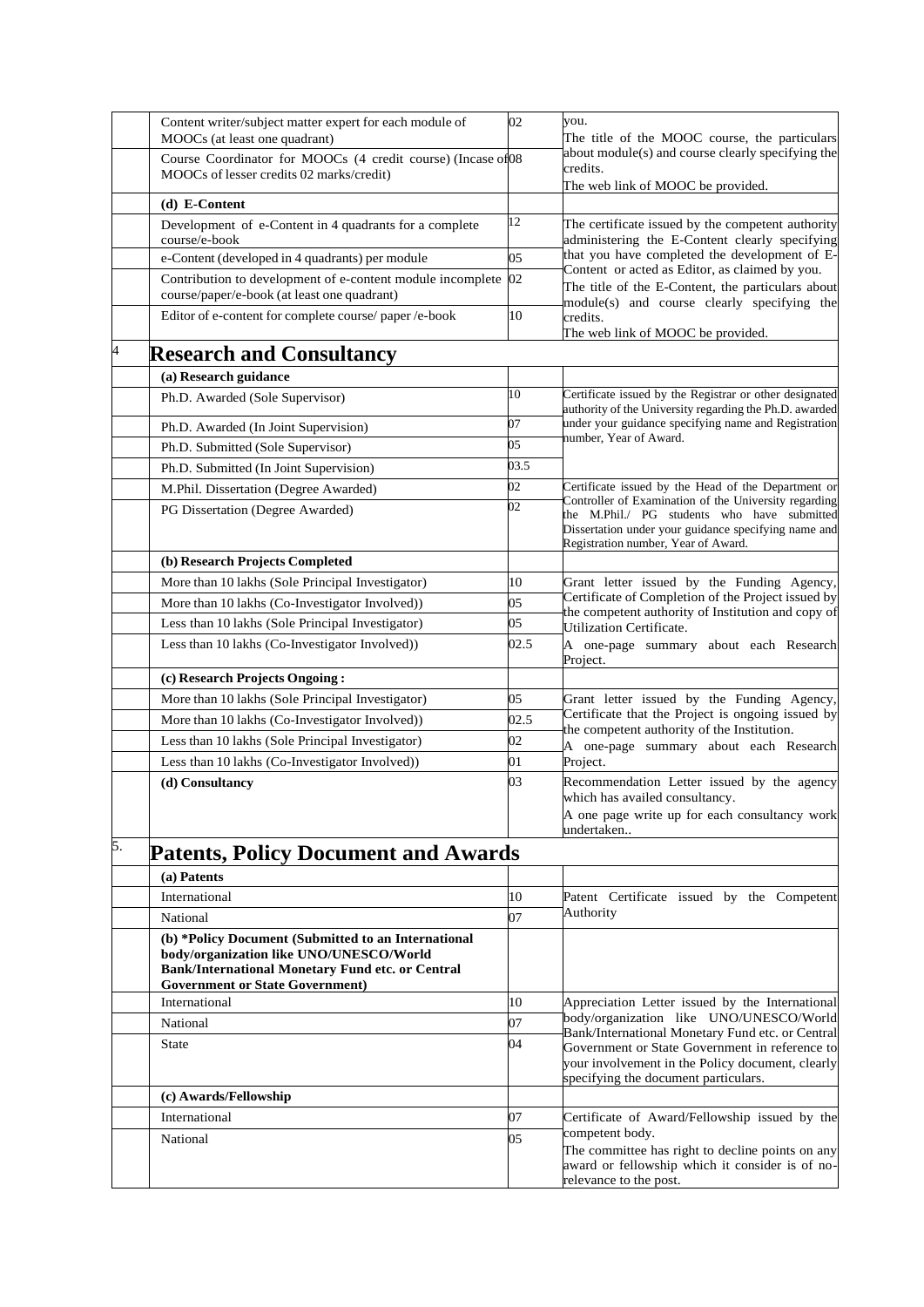|                | Content writer/subject matter expert for each module of<br>MOOCs (at least one quadrant)                                                                                                            | 02   | you.<br>The title of the MOOC course, the particulars                                                                                            |
|----------------|-----------------------------------------------------------------------------------------------------------------------------------------------------------------------------------------------------|------|--------------------------------------------------------------------------------------------------------------------------------------------------|
|                | Course Coordinator for MOOCs (4 credit course) (Incase of 08<br>MOOCs of lesser credits 02 marks/credit)                                                                                            |      | about module(s) and course clearly specifying the<br>credits.                                                                                    |
|                | (d) E-Content                                                                                                                                                                                       |      | The web link of MOOC be provided.                                                                                                                |
|                | Development of e-Content in 4 quadrants for a complete                                                                                                                                              | 12   | The certificate issued by the competent authority                                                                                                |
|                | course/e-book                                                                                                                                                                                       |      | administering the E-Content clearly specifying                                                                                                   |
|                | e-Content (developed in 4 quadrants) per module                                                                                                                                                     | 05   | that you have completed the development of E-<br>Content or acted as Editor, as claimed by you.                                                  |
|                | Contribution to development of e-content module incomplete<br>course/paper/e-book (at least one quadrant)                                                                                           | 02   | The title of the E-Content, the particulars about<br>module(s) and course clearly specifying the                                                 |
|                | Editor of e-content for complete course/ paper/e-book                                                                                                                                               | 10   | credits.<br>The web link of MOOC be provided.                                                                                                    |
| $\overline{a}$ | <b>Research and Consultancy</b>                                                                                                                                                                     |      |                                                                                                                                                  |
|                | (a) Research guidance                                                                                                                                                                               |      |                                                                                                                                                  |
|                | Ph.D. Awarded (Sole Supervisor)                                                                                                                                                                     | 10   | Certificate issued by the Registrar or other designated<br>authority of the University regarding the Ph.D. awarded                               |
|                | Ph.D. Awarded (In Joint Supervision)                                                                                                                                                                | 07   | under your guidance specifying name and Registration<br>number, Year of Award.                                                                   |
|                | Ph.D. Submitted (Sole Supervisor)                                                                                                                                                                   | 05   |                                                                                                                                                  |
|                | Ph.D. Submitted (In Joint Supervision)                                                                                                                                                              | 03.5 |                                                                                                                                                  |
|                | M.Phil. Dissertation (Degree Awarded)                                                                                                                                                               | 02   | Certificate issued by the Head of the Department or<br>Controller of Examination of the University regarding                                     |
|                | PG Dissertation (Degree Awarded)                                                                                                                                                                    | 02   | the M.Phil./ PG students who have submitted<br>Dissertation under your guidance specifying name and<br>Registration number, Year of Award.       |
|                | (b) Research Projects Completed                                                                                                                                                                     |      |                                                                                                                                                  |
|                | More than 10 lakhs (Sole Principal Investigator)                                                                                                                                                    | 10   | Grant letter issued by the Funding Agency,<br>Certificate of Completion of the Project issued by                                                 |
|                | More than 10 lakhs (Co-Investigator Involved))                                                                                                                                                      | 05   | the competent authority of Institution and copy of                                                                                               |
|                | Less than 10 lakhs (Sole Principal Investigator)                                                                                                                                                    | 05   | Utilization Certificate.                                                                                                                         |
|                | Less than 10 lakhs (Co-Investigator Involved))                                                                                                                                                      | 02.5 | A one-page summary about each Research<br>Project.                                                                                               |
|                | (c) Research Projects Ongoing:                                                                                                                                                                      |      |                                                                                                                                                  |
|                | More than 10 lakhs (Sole Principal Investigator)                                                                                                                                                    | 05   | Grant letter issued by the Funding Agency,<br>Certificate that the Project is ongoing issued by                                                  |
|                | More than 10 lakhs (Co-Investigator Involved))                                                                                                                                                      | 02.5 | the competent authority of the Institution.                                                                                                      |
|                | Less than 10 lakhs (Sole Principal Investigator)                                                                                                                                                    | 02   | A one-page summary about each Research                                                                                                           |
|                | Less than 10 lakhs (Co-Investigator Involved))                                                                                                                                                      | 01   | Project.                                                                                                                                         |
|                | (d) Consultancy                                                                                                                                                                                     | 03   | Recommendation Letter issued by the agency<br>which has availed consultancy.<br>A one page write up for each consultancy work<br>undertaken      |
| 5.             | <b>Patents, Policy Document and Awards</b>                                                                                                                                                          |      |                                                                                                                                                  |
|                | (a) Patents                                                                                                                                                                                         |      |                                                                                                                                                  |
|                | International                                                                                                                                                                                       | 10   | Patent Certificate issued by the Competent                                                                                                       |
|                | National                                                                                                                                                                                            | 07   | Authority                                                                                                                                        |
|                | (b) *Policy Document (Submitted to an International<br>body/organization like UNO/UNESCO/World<br><b>Bank/International Monetary Fund etc. or Central</b><br><b>Government or State Government)</b> |      |                                                                                                                                                  |
|                | International                                                                                                                                                                                       | 10   | Appreciation Letter issued by the International                                                                                                  |
|                | National                                                                                                                                                                                            | 07   | body/organization like UNO/UNESCO/World<br>Bank/International Monetary Fund etc. or Central                                                      |
|                | <b>State</b>                                                                                                                                                                                        | 04   | Government or State Government in reference to<br>your involvement in the Policy document, clearly<br>specifying the document particulars.       |
|                | (c) Awards/Fellowship                                                                                                                                                                               |      |                                                                                                                                                  |
|                | International                                                                                                                                                                                       | 07   | Certificate of Award/Fellowship issued by the                                                                                                    |
|                | National                                                                                                                                                                                            | 05   | competent body.<br>The committee has right to decline points on any<br>award or fellowship which it consider is of no-<br>relevance to the post. |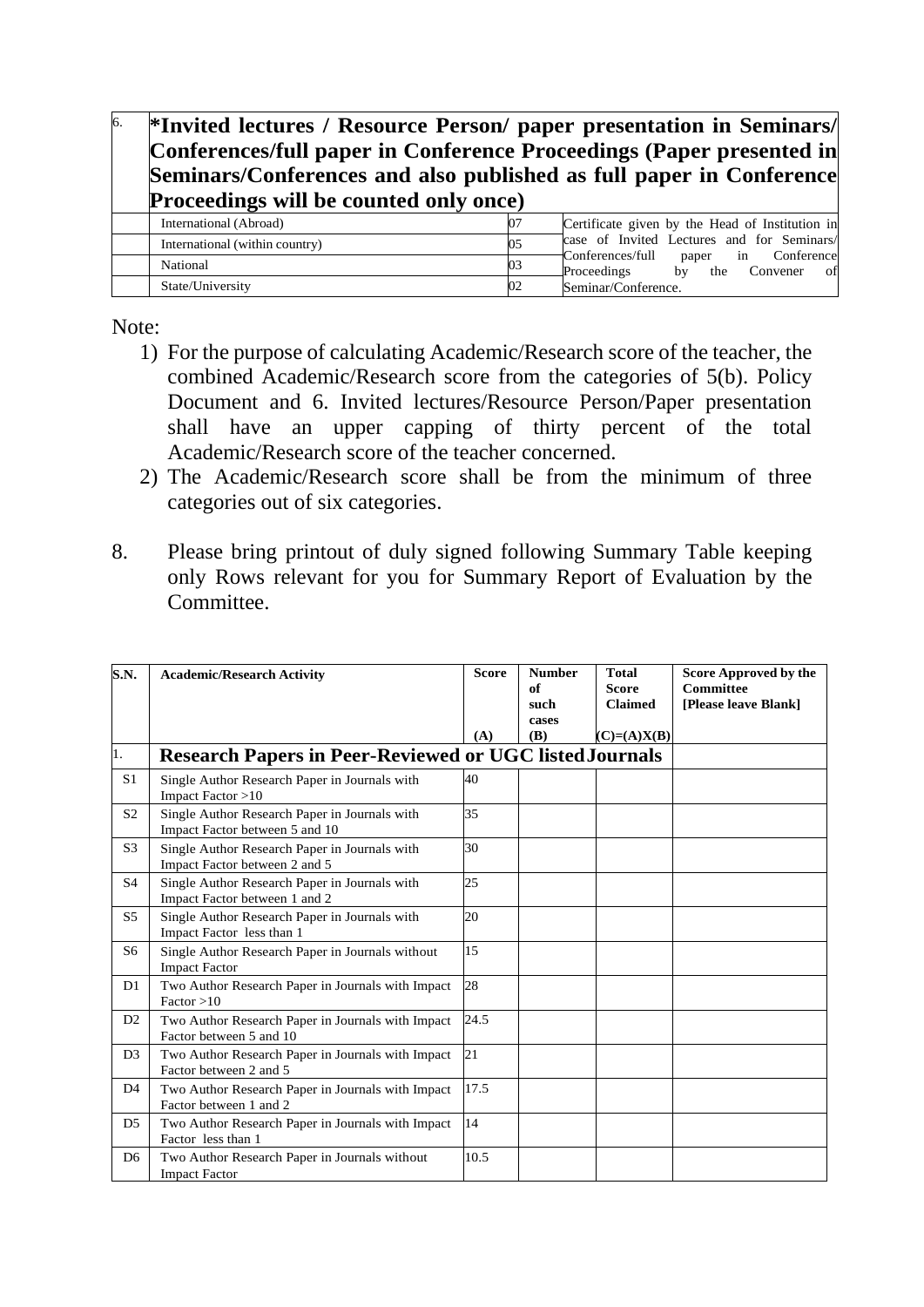| 6. | *Invited lectures / Resource Person/ paper presentation in Seminars/<br>Conferences/full paper in Conference Proceedings (Paper presented in<br>Seminars/Conferences and also published as full paper in Conference<br><b>Proceedings will be counted only once)</b> |    |                                                                              |
|----|----------------------------------------------------------------------------------------------------------------------------------------------------------------------------------------------------------------------------------------------------------------------|----|------------------------------------------------------------------------------|
|    | International (Abroad)                                                                                                                                                                                                                                               |    | Certificate given by the Head of Institution in                              |
|    | International (within country)                                                                                                                                                                                                                                       | 05 | case of Invited Lectures and for Seminars/                                   |
|    | National                                                                                                                                                                                                                                                             | 03 | Conferences/full<br>paper in Conference<br>by the Convener of<br>Proceedings |
|    | State/University                                                                                                                                                                                                                                                     | 02 | Seminar/Conference.                                                          |

Note:

- 1) For the purpose of calculating Academic/Research score of the teacher, the combined Academic/Research score from the categories of 5(b). Policy Document and 6. Invited lectures/Resource Person/Paper presentation shall have an upper capping of thirty percent of the total Academic/Research score of the teacher concerned.
- 2) The Academic/Research score shall be from the minimum of three categories out of six categories.
- 8. Please bring printout of duly signed following Summary Table keeping only Rows relevant for you for Summary Report of Evaluation by the Committee.

| S.N.           | <b>Academic/Research Activity</b>                                               | <b>Score</b><br>(A) | <b>Number</b><br>of<br>such<br>cases<br>(B) | <b>Total</b><br><b>Score</b><br><b>Claimed</b><br>$(C)=(A)X(B)$ | <b>Score Approved by the</b><br><b>Committee</b><br>[Please leave Blank] |
|----------------|---------------------------------------------------------------------------------|---------------------|---------------------------------------------|-----------------------------------------------------------------|--------------------------------------------------------------------------|
| 1.             | <b>Research Papers in Peer-Reviewed or UGC listed Journals</b>                  |                     |                                             |                                                                 |                                                                          |
| S <sub>1</sub> | Single Author Research Paper in Journals with<br>Impact Factor >10              | 40                  |                                             |                                                                 |                                                                          |
| S <sub>2</sub> | Single Author Research Paper in Journals with<br>Impact Factor between 5 and 10 | 35                  |                                             |                                                                 |                                                                          |
| S <sub>3</sub> | Single Author Research Paper in Journals with<br>Impact Factor between 2 and 5  | 30                  |                                             |                                                                 |                                                                          |
| S <sub>4</sub> | Single Author Research Paper in Journals with<br>Impact Factor between 1 and 2  | 25                  |                                             |                                                                 |                                                                          |
| S <sub>5</sub> | Single Author Research Paper in Journals with<br>Impact Factor less than 1      | 20                  |                                             |                                                                 |                                                                          |
| S6             | Single Author Research Paper in Journals without<br><b>Impact Factor</b>        | 15                  |                                             |                                                                 |                                                                          |
| D <sub>1</sub> | Two Author Research Paper in Journals with Impact<br>Factor > 10                | 28                  |                                             |                                                                 |                                                                          |
| D2             | Two Author Research Paper in Journals with Impact<br>Factor between 5 and 10    | 24.5                |                                             |                                                                 |                                                                          |
| D <sub>3</sub> | Two Author Research Paper in Journals with Impact<br>Factor between 2 and 5     | 21                  |                                             |                                                                 |                                                                          |
| D <sub>4</sub> | Two Author Research Paper in Journals with Impact<br>Factor between 1 and 2     | 17.5                |                                             |                                                                 |                                                                          |
| D <sub>5</sub> | Two Author Research Paper in Journals with Impact<br>Factor less than 1         | 14                  |                                             |                                                                 |                                                                          |
| D <sub>6</sub> | Two Author Research Paper in Journals without<br><b>Impact Factor</b>           | 10.5                |                                             |                                                                 |                                                                          |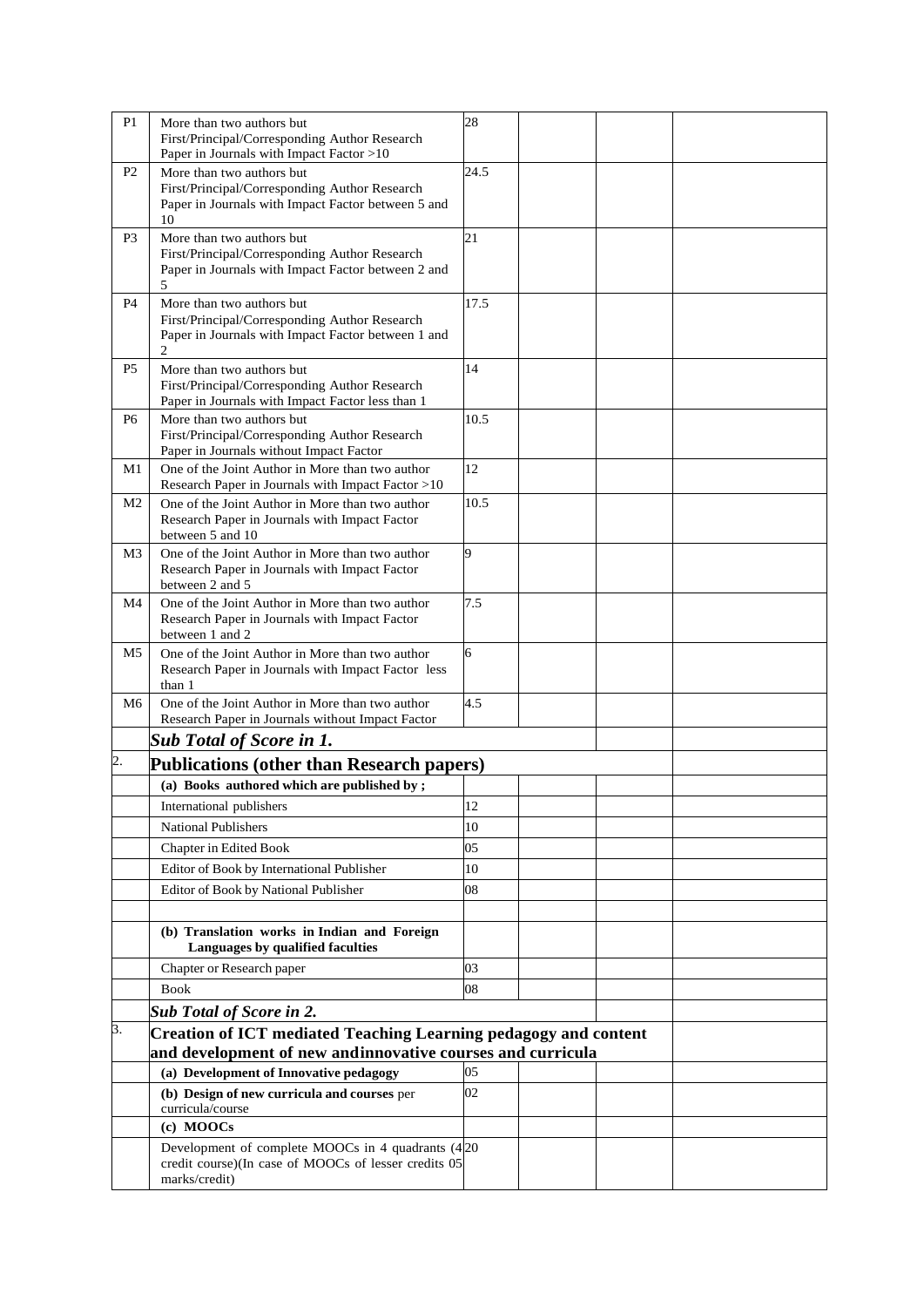| P <sub>1</sub> | More than two authors but<br>First/Principal/Corresponding Author Research<br>Paper in Journals with Impact Factor >10               | 28             |  |  |
|----------------|--------------------------------------------------------------------------------------------------------------------------------------|----------------|--|--|
| P <sub>2</sub> | More than two authors but                                                                                                            | 24.5           |  |  |
|                | First/Principal/Corresponding Author Research<br>Paper in Journals with Impact Factor between 5 and<br>10                            |                |  |  |
| P <sub>3</sub> | More than two authors but                                                                                                            | 21             |  |  |
|                | First/Principal/Corresponding Author Research<br>Paper in Journals with Impact Factor between 2 and<br>5                             |                |  |  |
| P <sub>4</sub> | More than two authors but                                                                                                            | 17.5           |  |  |
|                | First/Principal/Corresponding Author Research<br>Paper in Journals with Impact Factor between 1 and<br>2                             |                |  |  |
| P <sub>5</sub> | More than two authors but                                                                                                            | 14             |  |  |
|                | First/Principal/Corresponding Author Research<br>Paper in Journals with Impact Factor less than 1                                    |                |  |  |
| P <sub>6</sub> | More than two authors but                                                                                                            | 10.5           |  |  |
|                | First/Principal/Corresponding Author Research<br>Paper in Journals without Impact Factor                                             |                |  |  |
| M1             | One of the Joint Author in More than two author                                                                                      | 12             |  |  |
| M <sub>2</sub> | Research Paper in Journals with Impact Factor >10<br>One of the Joint Author in More than two author                                 | 10.5           |  |  |
|                | Research Paper in Journals with Impact Factor<br>between 5 and 10                                                                    |                |  |  |
| M <sub>3</sub> | One of the Joint Author in More than two author                                                                                      | $\overline{9}$ |  |  |
|                | Research Paper in Journals with Impact Factor<br>between 2 and 5                                                                     |                |  |  |
| M4             | One of the Joint Author in More than two author                                                                                      | 7.5            |  |  |
|                | Research Paper in Journals with Impact Factor<br>between 1 and 2                                                                     |                |  |  |
| M <sub>5</sub> | One of the Joint Author in More than two author                                                                                      | 6              |  |  |
|                | Research Paper in Journals with Impact Factor less<br>than 1                                                                         |                |  |  |
| M <sub>6</sub> | One of the Joint Author in More than two author<br>Research Paper in Journals without Impact Factor                                  | 4.5            |  |  |
|                | <b>Sub Total of Score in 1.</b>                                                                                                      |                |  |  |
| 2.             | <b>Publications (other than Research papers)</b>                                                                                     |                |  |  |
|                | (a) Books authored which are published by;                                                                                           |                |  |  |
|                | International publishers                                                                                                             | 12             |  |  |
|                | <b>National Publishers</b>                                                                                                           | 10             |  |  |
|                |                                                                                                                                      | 05             |  |  |
|                | Chapter in Edited Book                                                                                                               | 10             |  |  |
|                | Editor of Book by International Publisher                                                                                            |                |  |  |
|                | Editor of Book by National Publisher                                                                                                 | 08             |  |  |
|                |                                                                                                                                      |                |  |  |
|                | (b) Translation works in Indian and Foreign<br>Languages by qualified faculties                                                      |                |  |  |
|                | Chapter or Research paper                                                                                                            | 03             |  |  |
|                | <b>Book</b>                                                                                                                          | 08             |  |  |
|                | <b>Sub Total of Score in 2.</b>                                                                                                      |                |  |  |
| 3.             | <b>Creation of ICT mediated Teaching Learning pedagogy and content</b><br>and development of new andinnovative courses and curricula |                |  |  |
|                | (a) Development of Innovative pedagogy                                                                                               | 05             |  |  |
|                | (b) Design of new curricula and courses per                                                                                          | 02             |  |  |
|                | curricula/course                                                                                                                     |                |  |  |
|                | (c) MOOCs                                                                                                                            |                |  |  |
|                | Development of complete MOOCs in 4 quadrants (420)                                                                                   |                |  |  |
|                | credit course)(In case of MOOCs of lesser credits 05<br>marks/credit)                                                                |                |  |  |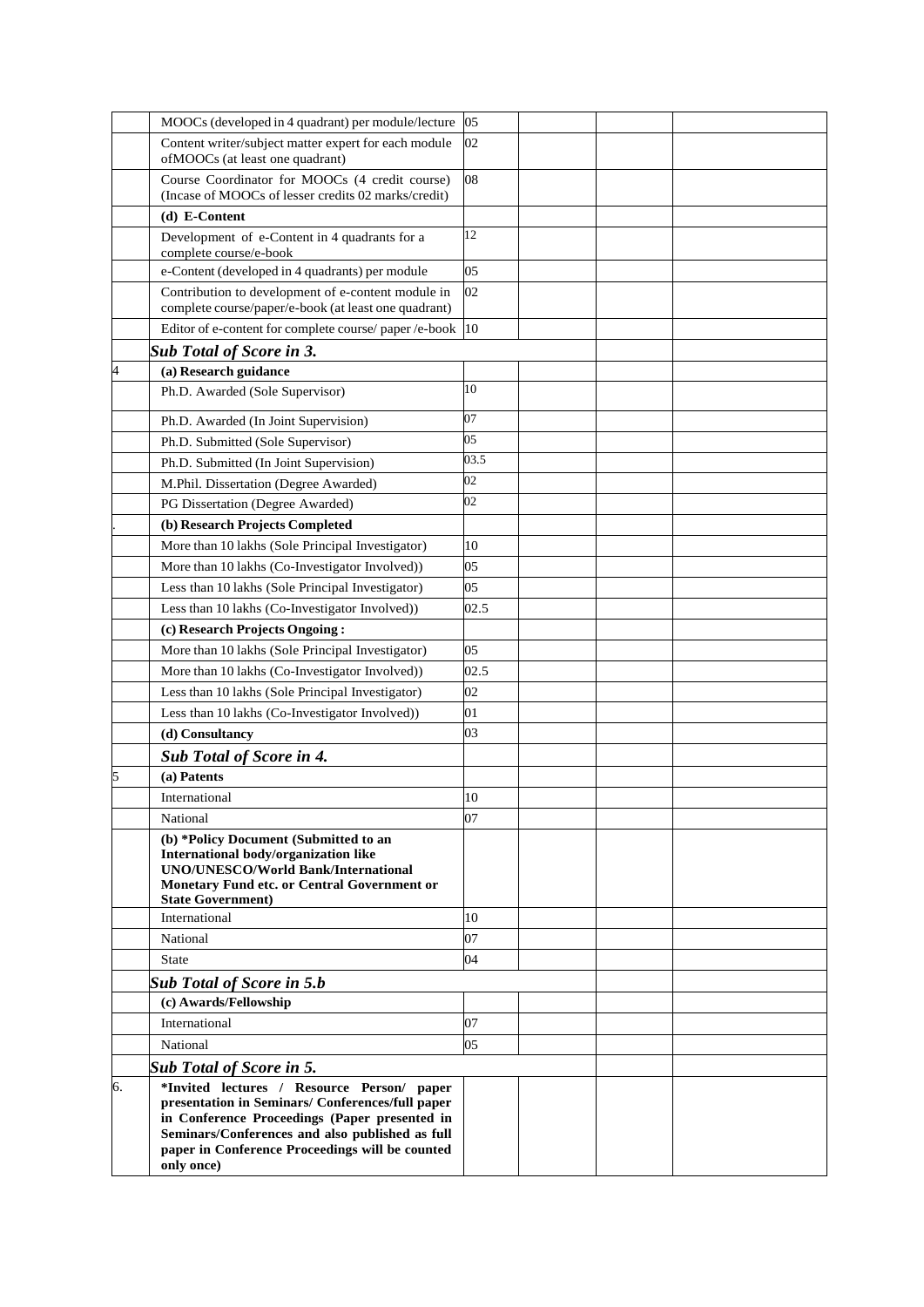|    | MOOCs (developed in 4 quadrant) per module/lecture                                                                                                                                                                                                                  | 05               |  |  |
|----|---------------------------------------------------------------------------------------------------------------------------------------------------------------------------------------------------------------------------------------------------------------------|------------------|--|--|
|    | Content writer/subject matter expert for each module<br>ofMOOCs (at least one quadrant)                                                                                                                                                                             | 02               |  |  |
|    | Course Coordinator for MOOCs (4 credit course)<br>(Incase of MOOCs of lesser credits 02 marks/credit)                                                                                                                                                               | 08               |  |  |
|    | (d) E-Content                                                                                                                                                                                                                                                       |                  |  |  |
|    | Development of e-Content in 4 quadrants for a<br>complete course/e-book                                                                                                                                                                                             | 12               |  |  |
|    | e-Content (developed in 4 quadrants) per module                                                                                                                                                                                                                     | 05               |  |  |
|    | Contribution to development of e-content module in<br>complete course/paper/e-book (at least one quadrant)                                                                                                                                                          | 02               |  |  |
|    | Editor of e-content for complete course/ paper /e-book                                                                                                                                                                                                              | 10 <sup>10</sup> |  |  |
|    | <b>Sub Total of Score in 3.</b>                                                                                                                                                                                                                                     |                  |  |  |
| 4  | (a) Research guidance                                                                                                                                                                                                                                               |                  |  |  |
|    | Ph.D. Awarded (Sole Supervisor)                                                                                                                                                                                                                                     | 10<br>07         |  |  |
|    | Ph.D. Awarded (In Joint Supervision)                                                                                                                                                                                                                                | 05               |  |  |
|    | Ph.D. Submitted (Sole Supervisor)                                                                                                                                                                                                                                   | 03.5             |  |  |
|    | Ph.D. Submitted (In Joint Supervision)                                                                                                                                                                                                                              | 02               |  |  |
|    | M.Phil. Dissertation (Degree Awarded)                                                                                                                                                                                                                               | 02               |  |  |
|    | PG Dissertation (Degree Awarded)                                                                                                                                                                                                                                    |                  |  |  |
|    | (b) Research Projects Completed<br>More than 10 lakhs (Sole Principal Investigator)                                                                                                                                                                                 | 10               |  |  |
|    |                                                                                                                                                                                                                                                                     | 05               |  |  |
|    | More than 10 lakhs (Co-Investigator Involved))<br>Less than 10 lakhs (Sole Principal Investigator)                                                                                                                                                                  | 05               |  |  |
|    | Less than 10 lakhs (Co-Investigator Involved))                                                                                                                                                                                                                      | 02.5             |  |  |
|    |                                                                                                                                                                                                                                                                     |                  |  |  |
|    | (c) Research Projects Ongoing:<br>More than 10 lakhs (Sole Principal Investigator)                                                                                                                                                                                  | 05               |  |  |
|    | More than 10 lakhs (Co-Investigator Involved))                                                                                                                                                                                                                      | 02.5             |  |  |
|    | Less than 10 lakhs (Sole Principal Investigator)                                                                                                                                                                                                                    | 02               |  |  |
|    | Less than 10 lakhs (Co-Investigator Involved))                                                                                                                                                                                                                      | 01               |  |  |
|    | (d) Consultancy                                                                                                                                                                                                                                                     | 03               |  |  |
|    | <b>Sub Total of Score in 4.</b>                                                                                                                                                                                                                                     |                  |  |  |
| 5  | (a) Patents                                                                                                                                                                                                                                                         |                  |  |  |
|    | International                                                                                                                                                                                                                                                       | 10               |  |  |
|    | National                                                                                                                                                                                                                                                            | 07               |  |  |
|    | (b) *Policy Document (Submitted to an<br>International body/organization like<br><b>UNO/UNESCO/World Bank/International</b><br>Monetary Fund etc. or Central Government or<br><b>State Government)</b>                                                              |                  |  |  |
|    | International                                                                                                                                                                                                                                                       | 10               |  |  |
|    | National                                                                                                                                                                                                                                                            | 07               |  |  |
|    | <b>State</b>                                                                                                                                                                                                                                                        | 04               |  |  |
|    | <b>Sub Total of Score in 5.b</b>                                                                                                                                                                                                                                    |                  |  |  |
|    | (c) Awards/Fellowship                                                                                                                                                                                                                                               |                  |  |  |
|    | International                                                                                                                                                                                                                                                       | 07               |  |  |
|    | National                                                                                                                                                                                                                                                            | 05               |  |  |
|    | <b>Sub Total of Score in 5.</b>                                                                                                                                                                                                                                     |                  |  |  |
| 6. | *Invited lectures / Resource Person/ paper<br>presentation in Seminars/ Conferences/full paper<br>in Conference Proceedings (Paper presented in<br>Seminars/Conferences and also published as full<br>paper in Conference Proceedings will be counted<br>only once) |                  |  |  |